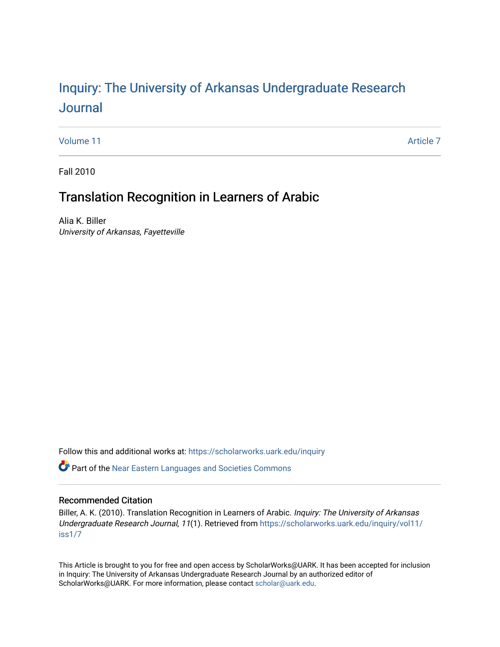# Inquiry: The Univ[ersity of Arkansas Undergraduate Resear](https://scholarworks.uark.edu/inquiry)ch [Journal](https://scholarworks.uark.edu/inquiry)

[Volume 11](https://scholarworks.uark.edu/inquiry/vol11) Article 7

Fall 2010

# Translation Recognition in Learners of Arabic

Alia K. Biller University of Arkansas, Fayetteville

Follow this and additional works at: [https://scholarworks.uark.edu/inquiry](https://scholarworks.uark.edu/inquiry?utm_source=scholarworks.uark.edu%2Finquiry%2Fvol11%2Fiss1%2F7&utm_medium=PDF&utm_campaign=PDFCoverPages)

**C** Part of the Near Eastern Languages and Societies Commons

## Recommended Citation

Biller, A. K. (2010). Translation Recognition in Learners of Arabic. Inquiry: The University of Arkansas Undergraduate Research Journal, 11(1). Retrieved from [https://scholarworks.uark.edu/inquiry/vol11/](https://scholarworks.uark.edu/inquiry/vol11/iss1/7?utm_source=scholarworks.uark.edu%2Finquiry%2Fvol11%2Fiss1%2F7&utm_medium=PDF&utm_campaign=PDFCoverPages) [iss1/7](https://scholarworks.uark.edu/inquiry/vol11/iss1/7?utm_source=scholarworks.uark.edu%2Finquiry%2Fvol11%2Fiss1%2F7&utm_medium=PDF&utm_campaign=PDFCoverPages)

This Article is brought to you for free and open access by ScholarWorks@UARK. It has been accepted for inclusion in Inquiry: The University of Arkansas Undergraduate Research Journal by an authorized editor of ScholarWorks@UARK. For more information, please contact [scholar@uark.edu](mailto:scholar@uark.edu).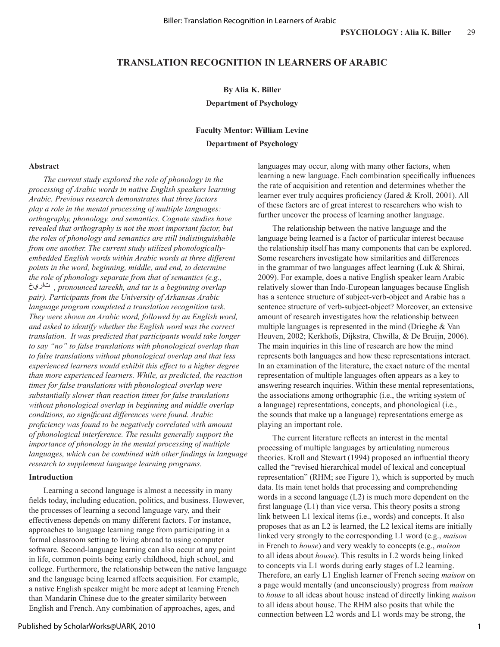## **TRANSLATION RECOGNITION IN LEARNERS OF ARABIC**

## **By Alia K. Biller**

## **Department of Psychology**

# **Faculty Mentor: William Levine Department of Psychology**

## **Abstract**

*The current study explored the role of phonology in the processing of Arabic words in native English speakers learning Arabic. Previous research demonstrates that three factors play a role in the mental processing of multiple languages: orthography, phonology, and semantics. Cognate studies have revealed that orthography is not the most important factor, but the roles of phonology and semantics are still indistinguishable from one another. The current study utilized phonologicallyembedded English words within Arabic words at three different points in the word, beginning, middle, and end, to determine the role of phonology separate from that of semantics (e.g., , pronounced tareekh, and tar is a beginning overlap pair). Participants from the University of Arkansas Arabic language program completed a translation recognition task. They were shown an Arabic word, followed by an English word, and asked to identify whether the English word was the correct translation. It was predicted that participants would take longer to say "no" to false translations with phonological overlap than to false translations without phonological overlap and that less experienced learners would exhibit this effect to a higher degree than more experienced learners. While, as predicted, the reaction times for false translations with phonological overlap were substantially slower than reaction times for false translations without phonological overlap in beginning and middle overlap conditions, no significant differences were found. Arabic proficiency was found to be negatively correlated with amount of phonological interference. The results generally support the importance of phonology in the mental processing of multiple languages, which can be combined with other findings in language research to supplement language learning programs.* 

### **Introduction**

Learning a second language is almost a necessity in many fields today, including education, politics, and business. However, the processes of learning a second language vary, and their effectiveness depends on many different factors. For instance, approaches to language learning range from participating in a formal classroom setting to living abroad to using computer software. Second-language learning can also occur at any point in life, common points being early childhood, high school, and college. Furthermore, the relationship between the native language and the language being learned affects acquisition. For example, a native English speaker might be more adept at learning French than Mandarin Chinese due to the greater similarity between English and French. Any combination of approaches, ages, and

languages may occur, along with many other factors, when learning a new language. Each combination specifically influences the rate of acquisition and retention and determines whether the learner ever truly acquires proficiency (Jared & Kroll, 2001). All of these factors are of great interest to researchers who wish to further uncover the process of learning another language.

The relationship between the native language and the language being learned is a factor of particular interest because the relationship itself has many components that can be explored. Some researchers investigate how similarities and differences in the grammar of two languages affect learning (Luk & Shirai, 2009). For example, does a native English speaker learn Arabic relatively slower than Indo-European languages because English has a sentence structure of subject-verb-object and Arabic has a sentence structure of verb-subject-object? Moreover, an extensive amount of research investigates how the relationship between multiple languages is represented in the mind (Drieghe & Van Heuven, 2002; Kerkhofs, Dijkstra, Chwilla, & De Bruijn, 2006). The main inquiries in this line of research are how the mind represents both languages and how these representations interact. In an examination of the literature, the exact nature of the mental representation of multiple languages often appears as a key to answering research inquiries. Within these mental representations, the associations among orthographic (i.e., the writing system of a language) representations, concepts, and phonological (i.e., the sounds that make up a language) representations emerge as playing an important role.

The current literature reflects an interest in the mental processing of multiple languages by articulating numerous theories. Kroll and Stewart (1994) proposed an influential theory called the "revised hierarchical model of lexical and conceptual representation" (RHM; see Figure 1), which is supported by much data. Its main tenet holds that processing and comprehending words in a second language (L2) is much more dependent on the first language (L1) than vice versa. This theory posits a strong link between L1 lexical items (i.e., words) and concepts. It also proposes that as an L2 is learned, the L2 lexical items are initially linked very strongly to the corresponding L1 word (e.g., *maison* in French to *house*) and very weakly to concepts (e.g., *maison* to all ideas about *house*). This results in L2 words being linked to concepts via L1 words during early stages of L2 learning. Therefore, an early L1 English learner of French seeing *maison* on a page would mentally (and unconsciously) progress from *maison* to *house* to all ideas about house instead of directly linking *maison* to all ideas about house. The RHM also posits that while the connection between L2 words and L1 words may be strong, the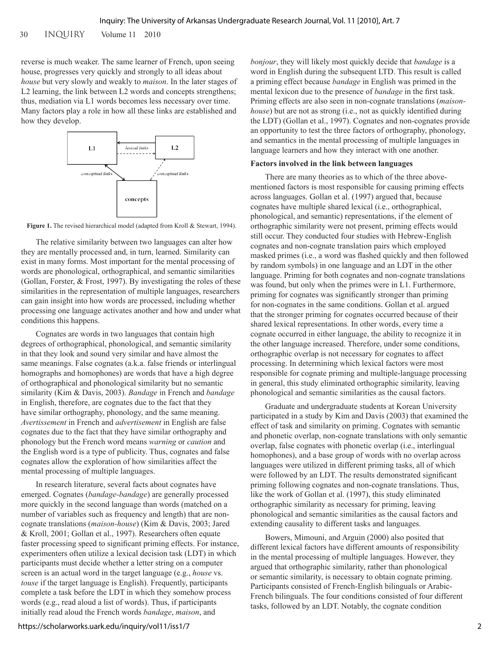30 INQUIRY Volume 11 2010

reverse is much weaker. The same learner of French, upon seeing house, progresses very quickly and strongly to all ideas about *house* but very slowly and weakly to *maison*. In the later stages of L2 learning, the link between L2 words and concepts strengthens; thus, mediation via L1 words becomes less necessary over time. Many factors play a role in how all these links are established and how they develop.



Figure 1. The revised hierarchical model (adapted from Kroll & Stewart, 1994).

The relative similarity between two languages can alter how they are mentally processed and, in turn, learned. Similarity can exist in many forms. Most important for the mental processing of words are phonological, orthographical, and semantic similarities (Gollan, Forster, & Frost, 1997). By investigating the roles of these similarities in the representation of multiple languages, researchers can gain insight into how words are processed, including whether processing one language activates another and how and under what conditions this happens.

Cognates are words in two languages that contain high degrees of orthographical, phonological, and semantic similarity in that they look and sound very similar and have almost the same meanings. False cognates (a.k.a. false friends or interlingual homographs and homophones) are words that have a high degree of orthographical and phonological similarity but no semantic similarity (Kim & Davis, 2003). *Bandage* in French and *bandage* in English, therefore, are cognates due to the fact that they have similar orthography, phonology, and the same meaning. *Avertissement* in French and *advertisement* in English are false cognates due to the fact that they have similar orthography and phonology but the French word means *warning* or *caution* and the English word is a type of publicity. Thus, cognates and false cognates allow the exploration of how similarities affect the mental processing of multiple languages.

In research literature, several facts about cognates have emerged. Cognates (*bandage-bandage*) are generally processed more quickly in the second language than words (matched on a number of variables such as frequency and length) that are noncognate translations (*maison-house*) (Kim & Davis, 2003; Jared & Kroll, 2001; Gollan et al., 1997). Researchers often equate faster processing speed to significant priming effects. For instance, experimenters often utilize a lexical decision task (LDT) in which participants must decide whether a letter string on a computer screen is an actual word in the target language (e.g., *house* vs. *touse* if the target language is English). Frequently, participants complete a task before the LDT in which they somehow process words (e.g., read aloud a list of words). Thus, if participants initially read aloud the French words *bandage*, *maison*, and

*bonjour*, they will likely most quickly decide that *bandage* is a word in English during the subsequent LTD. This result is called a priming effect because *bandage* in English was primed in the mental lexicon due to the presence of *bandage* in the first task. Priming effects are also seen in non-cognate translations (*maisonhouse*) but are not as strong (i.e., not as quickly identified during the LDT) (Gollan et al., 1997). Cognates and non-cognates provide an opportunity to test the three factors of orthography, phonology, and semantics in the mental processing of multiple languages in language learners and how they interact with one another.

## **Factors involved in the link between languages**

There are many theories as to which of the three abovementioned factors is most responsible for causing priming effects across languages. Gollan et al. (1997) argued that, because cognates have multiple shared lexical (i.e., orthographical, phonological, and semantic) representations, if the element of orthographic similarity were not present, priming effects would still occur. They conducted four studies with Hebrew-English cognates and non-cognate translation pairs which employed masked primes (i.e., a word was flashed quickly and then followed by random symbols) in one language and an LDT in the other language. Priming for both cognates and non-cognate translations was found, but only when the primes were in L1. Furthermore, priming for cognates was significantly stronger than priming for non-cognates in the same conditions. Gollan et al. argued that the stronger priming for cognates occurred because of their shared lexical representations. In other words, every time a cognate occurred in either language, the ability to recognize it in the other language increased. Therefore, under some conditions, orthographic overlap is not necessary for cognates to affect processing. In determining which lexical factors were most responsible for cognate priming and multiple-language processing in general, this study eliminated orthographic similarity, leaving phonological and semantic similarities as the causal factors.

Graduate and undergraduate students at Korean University participated in a study by Kim and Davis (2003) that examined the effect of task and similarity on priming. Cognates with semantic and phonetic overlap, non-cognate translations with only semantic overlap, false cognates with phonetic overlap (i.e., interlingual homophones), and a base group of words with no overlap across languages were utilized in different priming tasks, all of which were followed by an LDT. The results demonstrated significant priming following cognates and non-cognate translations. Thus, like the work of Gollan et al. (1997), this study eliminated orthographic similarity as necessary for priming, leaving phonological and semantic similarities as the causal factors and extending causality to different tasks and languages.

Bowers, Mimouni, and Arguin (2000) also posited that different lexical factors have different amounts of responsibility in the mental processing of multiple languages. However, they argued that orthographic similarity, rather than phonological or semantic similarity, is necessary to obtain cognate priming. Participants consisted of French-English bilinguals or Arabic-French bilinguals. The four conditions consisted of four different tasks, followed by an LDT. Notably, the cognate condition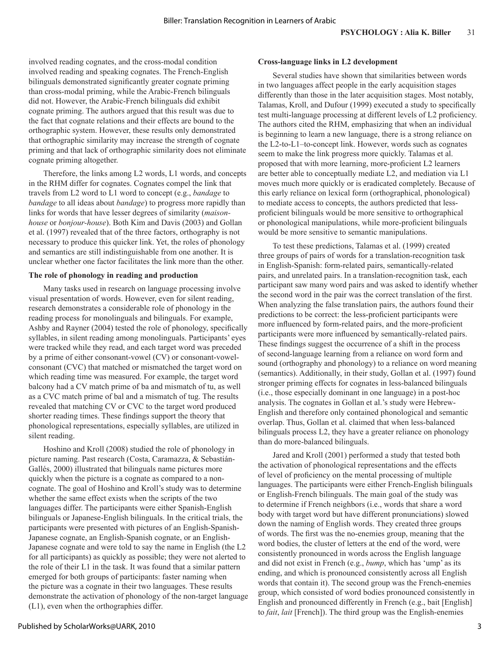involved reading cognates, and the cross-modal condition involved reading and speaking cognates. The French-English bilinguals demonstrated significantly greater cognate priming than cross-modal priming, while the Arabic-French bilinguals did not. However, the Arabic-French bilinguals did exhibit cognate priming. The authors argued that this result was due to the fact that cognate relations and their effects are bound to the orthographic system. However, these results only demonstrated that orthographic similarity may increase the strength of cognate priming and that lack of orthographic similarity does not eliminate cognate priming altogether.

Therefore, the links among L2 words, L1 words, and concepts in the RHM differ for cognates. Cognates compel the link that travels from L2 word to L1 word to concept (e.g., *bandage* to *bandage* to all ideas about *bandage*) to progress more rapidly than links for words that have lesser degrees of similarity (*maisonhouse* or *bonjour-house*). Both Kim and Davis (2003) and Gollan et al. (1997) revealed that of the three factors, orthography is not necessary to produce this quicker link. Yet, the roles of phonology and semantics are still indistinguishable from one another. It is unclear whether one factor facilitates the link more than the other.

## **The role of phonology in reading and production**

Many tasks used in research on language processing involve visual presentation of words. However, even for silent reading, research demonstrates a considerable role of phonology in the reading process for monolinguals and bilinguals. For example, Ashby and Rayner (2004) tested the role of phonology, specifically syllables, in silent reading among monolinguals. Participants' eyes were tracked while they read, and each target word was preceded by a prime of either consonant-vowel (CV) or consonant-vowelconsonant (CVC) that matched or mismatched the target word on which reading time was measured. For example, the target word balcony had a CV match prime of ba and mismatch of tu, as well as a CVC match prime of bal and a mismatch of tug. The results revealed that matching CV or CVC to the target word produced shorter reading times. These findings support the theory that phonological representations, especially syllables, are utilized in silent reading.

Hoshino and Kroll (2008) studied the role of phonology in picture naming. Past research (Costa, Caramazza, & Sebastián-Gallés, 2000) illustrated that bilinguals name pictures more quickly when the picture is a cognate as compared to a noncognate. The goal of Hoshino and Kroll's study was to determine whether the same effect exists when the scripts of the two languages differ. The participants were either Spanish-English bilinguals or Japanese-English bilinguals. In the critical trials, the participants were presented with pictures of an English-Spanish-Japanese cognate, an English-Spanish cognate, or an English-Japanese cognate and were told to say the name in English (the L2 for all participants) as quickly as possible; they were not alerted to the role of their L1 in the task. It was found that a similar pattern emerged for both groups of participants: faster naming when the picture was a cognate in their two languages. These results demonstrate the activation of phonology of the non-target language (L1), even when the orthographies differ.

## **Cross-language links in L2 development**

Several studies have shown that similarities between words in two languages affect people in the early acquisition stages differently than those in the later acquisition stages. Most notably, Talamas, Kroll, and Dufour (1999) executed a study to specifically test multi-language processing at different levels of L2 proficiency. The authors cited the RHM, emphasizing that when an individual is beginning to learn a new language, there is a strong reliance on the L2-to-L1–to-concept link. However, words such as cognates seem to make the link progress more quickly. Talamas et al. proposed that with more learning, more-proficient L2 learners are better able to conceptually mediate L2, and mediation via L1 moves much more quickly or is eradicated completely. Because of this early reliance on lexical form (orthographical, phonological) to mediate access to concepts, the authors predicted that lessproficient bilinguals would be more sensitive to orthographical or phonological manipulations, while more-proficient bilinguals would be more sensitive to semantic manipulations.

To test these predictions, Talamas et al. (1999) created three groups of pairs of words for a translation-recognition task in English-Spanish: form-related pairs, semantically-related pairs, and unrelated pairs. In a translation-recognition task, each participant saw many word pairs and was asked to identify whether the second word in the pair was the correct translation of the first. When analyzing the false translation pairs, the authors found their predictions to be correct: the less-proficient participants were more influenced by form-related pairs, and the more-proficient participants were more influenced by semantically-related pairs. These findings suggest the occurrence of a shift in the process of second-language learning from a reliance on word form and sound (orthography and phonology) to a reliance on word meaning (semantics). Additionally, in their study, Gollan et al. (1997) found stronger priming effects for cognates in less-balanced bilinguals (i.e., those especially dominant in one language) in a post-hoc analysis. The cognates in Gollan et al.'s study were Hebrew-English and therefore only contained phonological and semantic overlap. Thus, Gollan et al. claimed that when less-balanced bilinguals process L2, they have a greater reliance on phonology than do more-balanced bilinguals.

Jared and Kroll (2001) performed a study that tested both the activation of phonological representations and the effects of level of proficiency on the mental processing of multiple languages. The participants were either French-English bilinguals or English-French bilinguals. The main goal of the study was to determine if French neighbors (i.e., words that share a word body with target word but have different pronunciations) slowed down the naming of English words. They created three groups of words. The first was the no-enemies group, meaning that the word bodies, the cluster of letters at the end of the word, were consistently pronounced in words across the English language and did not exist in French (e.g., *bump*, which has 'ump' as its ending, and which is pronounced consistently across all English words that contain it). The second group was the French-enemies group, which consisted of word bodies pronounced consistently in English and pronounced differently in French (e.g., bait [English] to *fait*, *lait* [French]). The third group was the English-enemies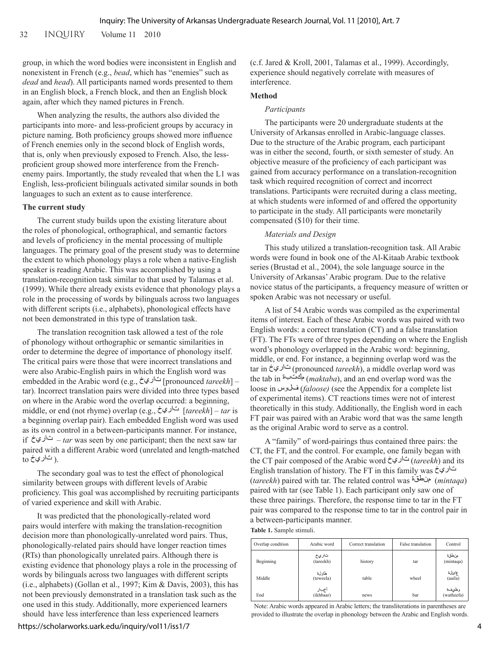group, in which the word bodies were inconsistent in English and nonexistent in French (e.g., *bead*, which has "enemies" such as *dead* and *head*). All participants named words presented to them in an English block, a French block, and then an English block again, after which they named pictures in French.

When analyzing the results, the authors also divided the participants into more- and less-proficient groups by accuracy in picture naming. Both proficiency groups showed more influence of French enemies only in the second block of English words, that is, only when previously exposed to French. Also, the lessproficient group showed more interference from the Frenchenemy pairs. Importantly, the study revealed that when the L1 was English, less-proficient bilinguals activated similar sounds in both languages to such an extent as to cause interference.

## **The current study**

The current study builds upon the existing literature about the roles of phonological, orthographical, and semantic factors and levels of proficiency in the mental processing of multiple languages. The primary goal of the present study was to determine the extent to which phonology plays a role when a native-English speaker is reading Arabic. This was accomplished by using a translation-recognition task similar to that used by Talamas et al. (1999). While there already exists evidence that phonology plays a role in the processing of words by bilinguals across two languages with different scripts (i.e., alphabets), phonological effects have not been demonstrated in this type of translation task.

The translation recognition task allowed a test of the role of phonology without orthographic or semantic similarities in order to determine the degree of importance of phonology itself. The critical pairs were those that were incorrect translations and were also Arabic-English pairs in which the English word was embedded in the Arabic word (e.g., [pronounced *tareekh*] – tar). Incorrect translation pairs were divided into three types based on where in the Arabic word the overlap occurred: a beginning, middle, or end (not rhyme) overlap (e.g., [*tareekh*] – *tar* is a beginning overlap pair). Each embedded English word was used as its own control in a between-participants manner. For instance, if  $\dot{\varepsilon}$ <sup> $\dot{\varepsilon}$  $-$ *tar* was seen by one participant; then the next saw tar</sup> paired with a different Arabic word (unrelated and length-matched  $_{\rm to}$  ا تاري خ $_{\rm h}$ 

The secondary goal was to test the effect of phonological similarity between groups with different levels of Arabic proficiency. This goal was accomplished by recruiting participants of varied experience and skill with Arabic.

It was predicted that the phonologically-related word pairs would interfere with making the translation-recognition decision more than phonologically-unrelated word pairs. Thus, phonologically-related pairs should have longer reaction times (RTs) than phonologically unrelated pairs. Although there is existing evidence that phonology plays a role in the processing of words by bilinguals across two languages with different scripts (i.e., alphabets) (Gollan et al., 1997; Kim & Davis, 2003), this has not been previously demonstrated in a translation task such as the one used in this study. Additionally, more experienced learners should have less interference than less experienced learners

(c.f. Jared & Kroll, 2001, Talamas et al., 1999). Accordingly, experience should negatively correlate with measures of interference.

## **Method**

#### *Participants*

The participants were 20 undergraduate students at the University of Arkansas enrolled in Arabic-language classes. Due to the structure of the Arabic program, each participant was in either the second, fourth, or sixth semester of study. An objective measure of the proficiency of each participant was gained from accuracy performance on a translation-recognition task which required recognition of correct and incorrect translations. Participants were recruited during a class meeting, at which students were informed of and offered the opportunity to participate in the study. All participants were monetarily compensated (\$10) for their time.

#### *Materials and Design*

This study utilized a translation-recognition task. All Arabic words were found in book one of the Al-Kitaab Arabic textbook series (Brustad et al., 2004), the sole language source in the University of Arkansas' Arabic program. Due to the relative novice status of the participants, a frequency measure of written or spoken Arabic was not necessary or useful.

A list of 54 Arabic words was compiled as the experimental items of interest. Each of these Arabic words was paired with two English words: a correct translation (CT) and a false translation (FT). The FTs were of three types depending on where the English word's phonology overlapped in the Arabic word: beginning, middle, or end. For instance, a beginning overlap word was the tar in (pronounced *tareekh*), a middle overlap word was the tab in (*maktaba*), and an end overlap word was the loose in (*faloose)* (see the Appendix for a complete list of experimental items). CT reactions times were not of interest theoretically in this study. Additionally, the English word in each FT pair was paired with an Arabic word that was the same length as the original Arabic word to serve as a control.

A "family" of word-pairings thus contained three pairs: the CT, the FT, and the control. For example, one family began with the CT pair composed of the Arabic word (*tareekh*) and its English translation of history. The FT in this family was (*tareekh*) paired with tar. The related control was (*mintaqa*) paired with tar (see Table 1). Each participant only saw one of these three pairings. Therefore, the response time to tar in the FT pair was compared to the response time to tar in the control pair in a between-participants manner.

**Table 1.** Sample stimuli.

| Overlap condition | Arabic word         | Correct translation | False translation | Control               |
|-------------------|---------------------|---------------------|-------------------|-----------------------|
| Beginning         | تاريخ<br>(tareekh)  | history             | tar               | مزطقة<br>(mintaqa)    |
| Middle            | طاولءَ<br>(teweela) | table               | wheel             | عائلة<br>(aaila)      |
| End               | أخبار<br>(ikhbaar)  | news                | bar               | وظئيفءة<br>(watheefa) |

Note: Arabic words appeared in Arabic letters; the transliterations in parentheses are provided to illustrate the overlap in phonology between the Arabic and English words.

https://scholarworks.uark.edu/inquiry/vol11/iss1/7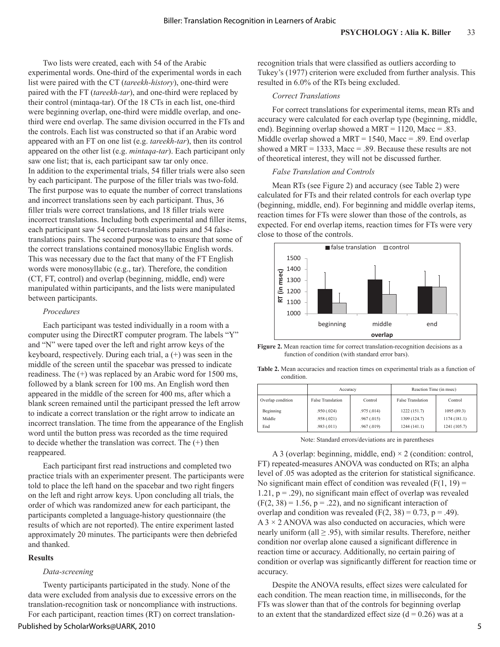Two lists were created, each with 54 of the Arabic experimental words. One-third of the experimental words in each list were paired with the CT (*tareekh-history*), one-third were paired with the FT (*tareekh-tar*), and one-third were replaced by their control (mintaqa-tar). Of the 18 CTs in each list, one-third were beginning overlap, one-third were middle overlap, and onethird were end overlap. The same division occurred in the FTs and the controls. Each list was constructed so that if an Arabic word appeared with an FT on one list (e.g. *tareekh-tar*), then its control appeared on the other list (e.g. *mintaqa-tar*). Each participant only saw one list; that is, each participant saw tar only once. In addition to the experimental trials, 54 filler trials were also seen by each participant. The purpose of the filler trials was two-fold. The first purpose was to equate the number of correct translations and incorrect translations seen by each participant. Thus, 36 filler trials were correct translations, and 18 filler trials were incorrect translations. Including both experimental and filler items, each participant saw 54 correct-translations pairs and 54 falsetranslations pairs. The second purpose was to ensure that some of the correct translations contained monosyllabic English words. This was necessary due to the fact that many of the FT English words were monosyllabic (e.g., tar). Therefore, the condition (CT, FT, control) and overlap (beginning, middle, end) were manipulated within participants, and the lists were manipulated between participants.

## *Procedures*

Each participant was tested individually in a room with a computer using the DirectRT computer program. The labels "Y" and "N" were taped over the left and right arrow keys of the keyboard, respectively. During each trial, a (+) was seen in the middle of the screen until the spacebar was pressed to indicate readiness. The (+) was replaced by an Arabic word for 1500 ms, followed by a blank screen for 100 ms. An English word then appeared in the middle of the screen for 400 ms, after which a blank screen remained until the participant pressed the left arrow to indicate a correct translation or the right arrow to indicate an incorrect translation. The time from the appearance of the English word until the button press was recorded as the time required to decide whether the translation was correct. The (+) then reappeared.

Each participant first read instructions and completed two practice trials with an experimenter present. The participants were told to place the left hand on the spacebar and two right fingers on the left and right arrow keys. Upon concluding all trials, the order of which was randomized anew for each participant, the participants completed a language-history questionnaire (the results of which are not reported). The entire experiment lasted approximately 20 minutes. The participants were then debriefed and thanked.

## **Results**

#### *Data-screening*

Twenty participants participated in the study. None of the data were excluded from analysis due to excessive errors on the translation-recognition task or noncompliance with instructions. For each participant, reaction times (RT) on correct translationrecognition trials that were classified as outliers according to Tukey's (1977) criterion were excluded from further analysis. This resulted in 6.0% of the RTs being excluded.

## *Correct Translations*

For correct translations for experimental items, mean RTs and accuracy were calculated for each overlap type (beginning, middle, end). Beginning overlap showed a MRT =  $1120$ , Macc = .83. Middle overlap showed a MRT = 1540, Macc = .89. End overlap showed a MRT = 1333, Macc = .89. Because these results are not of theoretical interest, they will not be discussed further.

## *False Translation and Controls*

Mean RTs (see Figure 2) and accuracy (see Table 2) were calculated for FTs and their related controls for each overlap type (beginning, middle, end). For beginning and middle overlap items, reaction times for FTs were slower than those of the controls, as expected. For end overlap items, reaction times for FTs were very close to those of the controls.



**Figure 2.** Mean reaction time for correct translation-recognition decisions as a function of condition (with standard error bars).

**Table 2.** Mean accuracies and reaction times on experimental trials as a function of condition.

|                   | Accuracy                 |             | Reaction Time (in msec)  |              |
|-------------------|--------------------------|-------------|--------------------------|--------------|
| Overlap condition | <b>False Translation</b> | Control     | <b>False Translation</b> | Control      |
| Beginning         | .950(.024)               | .975(.014)  | 1222 (151.7)             | 1095 (89.3)  |
| Middle            | .958(.021)               | .967(0.015) | 1309 (124.7)             | 1174(181.1)  |
| End               | .983(.011)               | .967(0.019) | 1244(141.1)              | 1241 (105.7) |

Note: Standard errors/deviations are in parentheses

A 3 (overlap: beginning, middle, end)  $\times$  2 (condition: control, FT) repeated-measures ANOVA was conducted on RTs; an alpha level of .05 was adopted as the criterion for statistical significance. No significant main effect of condition was revealed  $(F(1, 19)) =$ 1.21,  $p = .29$ ), no significant main effect of overlap was revealed  $(F(2, 38) = 1.56, p = .22)$ , and no significant interaction of overlap and condition was revealed  $(F(2, 38) = 0.73, p = .49)$ .  $A$  3  $\times$  2 ANOVA was also conducted on accuracies, which were nearly uniform (all  $\geq$  .95), with similar results. Therefore, neither condition nor overlap alone caused a significant difference in reaction time or accuracy. Additionally, no certain pairing of condition or overlap was significantly different for reaction time or accuracy.

Despite the ANOVA results, effect sizes were calculated for each condition. The mean reaction time, in milliseconds, for the FTs was slower than that of the controls for beginning overlap to an extent that the standardized effect size  $(d = 0.26)$  was at a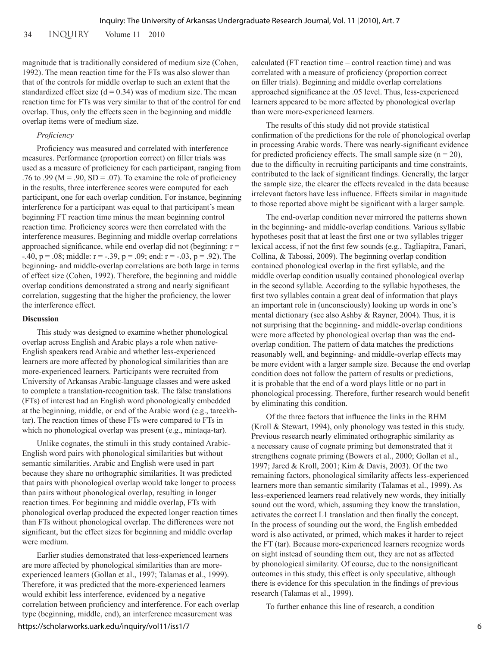34 INQUIRY Volume 11 2010

magnitude that is traditionally considered of medium size (Cohen, 1992). The mean reaction time for the FTs was also slower than that of the controls for middle overlap to such an extent that the standardized effect size  $(d = 0.34)$  was of medium size. The mean reaction time for FTs was very similar to that of the control for end overlap. Thus, only the effects seen in the beginning and middle overlap items were of medium size.

## *Proficiency*

Proficiency was measured and correlated with interference measures. Performance (proportion correct) on filler trials was used as a measure of proficiency for each participant, ranging from .76 to .99 ( $M = .90$ ,  $SD = .07$ ). To examine the role of proficiency in the results, three interference scores were computed for each participant, one for each overlap condition. For instance, beginning interference for a participant was equal to that participant's mean beginning FT reaction time minus the mean beginning control reaction time. Proficiency scores were then correlated with the interference measures. Beginning and middle overlap correlations approached significance, while end overlap did not (beginning:  $r =$  $-40$ ,  $p = .08$ ; middle:  $r = -.39$ ,  $p = .09$ ; end:  $r = -.03$ ,  $p = .92$ ). The beginning- and middle-overlap correlations are both large in terms of effect size (Cohen, 1992). Therefore, the beginning and middle overlap conditions demonstrated a strong and nearly significant correlation, suggesting that the higher the proficiency, the lower the interference effect.

## **Discussion**

This study was designed to examine whether phonological overlap across English and Arabic plays a role when native-English speakers read Arabic and whether less-experienced learners are more affected by phonological similarities than are more-experienced learners. Participants were recruited from University of Arkansas Arabic-language classes and were asked to complete a translation-recognition task. The false translations (FTs) of interest had an English word phonologically embedded at the beginning, middle, or end of the Arabic word (e.g., tareekhtar). The reaction times of these FTs were compared to FTs in which no phonological overlap was present (e.g., mintaqa-tar).

Unlike cognates, the stimuli in this study contained Arabic-English word pairs with phonological similarities but without semantic similarities. Arabic and English were used in part because they share no orthographic similarities. It was predicted that pairs with phonological overlap would take longer to process than pairs without phonological overlap, resulting in longer reaction times. For beginning and middle overlap, FTs with phonological overlap produced the expected longer reaction times than FTs without phonological overlap. The differences were not significant, but the effect sizes for beginning and middle overlap were medium.

Earlier studies demonstrated that less-experienced learners are more affected by phonological similarities than are moreexperienced learners (Gollan et al., 1997; Talamas et al., 1999). Therefore, it was predicted that the more-experienced learners would exhibit less interference, evidenced by a negative correlation between proficiency and interference. For each overlap type (beginning, middle, end), an interference measurement was

calculated (FT reaction time – control reaction time) and was correlated with a measure of proficiency (proportion correct on filler trials). Beginning and middle overlap correlations approached significance at the .05 level. Thus, less-experienced learners appeared to be more affected by phonological overlap than were more-experienced learners.

The results of this study did not provide statistical confirmation of the predictions for the role of phonological overlap in processing Arabic words. There was nearly-significant evidence for predicted proficiency effects. The small sample size  $(n = 20)$ , due to the difficulty in recruiting participants and time constraints, contributed to the lack of significant findings. Generally, the larger the sample size, the clearer the effects revealed in the data because irrelevant factors have less influence. Effects similar in magnitude to those reported above might be significant with a larger sample.

The end-overlap condition never mirrored the patterns shown in the beginning- and middle-overlap conditions. Various syllabic hypotheses posit that at least the first one or two syllables trigger lexical access, if not the first few sounds (e.g., Tagliapitra, Fanari, Collina, & Tabossi, 2009). The beginning overlap condition contained phonological overlap in the first syllable, and the middle overlap condition usually contained phonological overlap in the second syllable. According to the syllabic hypotheses, the first two syllables contain a great deal of information that plays an important role in (unconsciously) looking up words in one's mental dictionary (see also Ashby & Rayner, 2004). Thus, it is not surprising that the beginning- and middle-overlap conditions were more affected by phonological overlap than was the endoverlap condition. The pattern of data matches the predictions reasonably well, and beginning- and middle-overlap effects may be more evident with a larger sample size. Because the end overlap condition does not follow the pattern of results or predictions, it is probable that the end of a word plays little or no part in phonological processing. Therefore, further research would benefit by eliminating this condition.

Of the three factors that influence the links in the RHM (Kroll & Stewart, 1994), only phonology was tested in this study. Previous research nearly eliminated orthographic similarity as a necessary cause of cognate priming but demonstrated that it strengthens cognate priming (Bowers et al., 2000; Gollan et al., 1997; Jared & Kroll, 2001; Kim & Davis, 2003). Of the two remaining factors, phonological similarity affects less-experienced learners more than semantic similarity (Talamas et al., 1999). As less-experienced learners read relatively new words, they initially sound out the word, which, assuming they know the translation, activates the correct L1 translation and then finally the concept. In the process of sounding out the word, the English embedded word is also activated, or primed, which makes it harder to reject the FT (tar). Because more-experienced learners recognize words on sight instead of sounding them out, they are not as affected by phonological similarity. Of course, due to the nonsignificant outcomes in this study, this effect is only speculative, although there is evidence for this speculation in the findings of previous research (Talamas et al., 1999).

To further enhance this line of research, a condition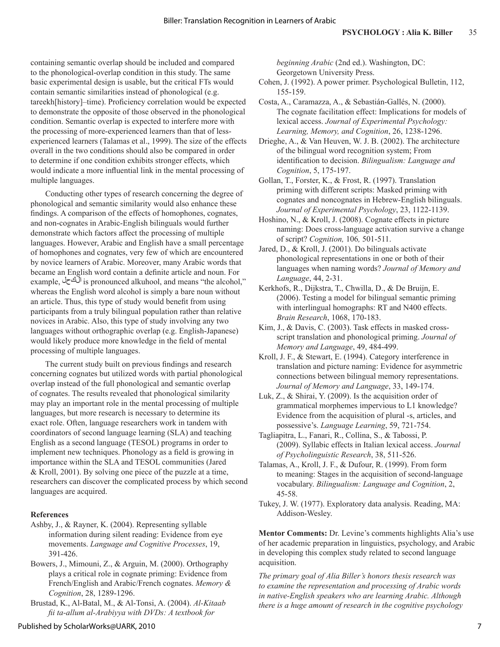containing semantic overlap should be included and compared to the phonological-overlap condition in this study. The same basic experimental design is usable, but the critical FTs would contain semantic similarities instead of phonological (e.g. tareekh[history]–time). Proficiency correlation would be expected to demonstrate the opposite of those observed in the phonological condition. Semantic overlap is expected to interfere more with the processing of more-experienced learners than that of lessexperienced learners (Talamas et al., 1999). The size of the effects overall in the two conditions should also be compared in order to determine if one condition exhibits stronger effects, which would indicate a more influential link in the mental processing of multiple languages.

Conducting other types of research concerning the degree of phonological and semantic similarity would also enhance these findings. A comparison of the effects of homophones, cognates, and non-cognates in Arabic-English bilinguals would further demonstrate which factors affect the processing of multiple languages. However, Arabic and English have a small percentage of homophones and cognates, very few of which are encountered by novice learners of Arabic. Moreover, many Arabic words that became an English word contain a definite article and noun. For example, is pronounced alkuhool, and means "the alcohol," whereas the English word alcohol is simply a bare noun without an article. Thus, this type of study would benefit from using participants from a truly bilingual population rather than relative novices in Arabic. Also, this type of study involving any two languages without orthographic overlap (e.g. English-Japanese) would likely produce more knowledge in the field of mental processing of multiple languages.

The current study built on previous findings and research concerning cognates but utilized words with partial phonological overlap instead of the full phonological and semantic overlap of cognates. The results revealed that phonological similarity may play an important role in the mental processing of multiple languages, but more research is necessary to determine its exact role. Often, language researchers work in tandem with coordinators of second language learning (SLA) and teaching English as a second language (TESOL) programs in order to implement new techniques. Phonology as a field is growing in importance within the SLA and TESOL communities (Jared & Kroll, 2001). By solving one piece of the puzzle at a time, researchers can discover the complicated process by which second languages are acquired.

## **References**

- Ashby, J., & Rayner, K. (2004). Representing syllable information during silent reading: Evidence from eye movements. *Language and Cognitive Processes*, 19, 391-426.
- Bowers, J., Mimouni, Z., & Arguin, M. (2000). Orthography plays a critical role in cognate priming: Evidence from French/English and Arabic/French cognates. *Memory & Cognition*, 28, 1289-1296.
- Brustad, K., Al-Batal, M., & Al-Tonsi, A. (2004). *Al-Kitaab fii ta-allum al-Arabiyya with DVDs: A textbook for*

*beginning Arabic* (2nd ed.). Washington, DC: Georgetown University Press.

- Cohen, J. (1992). A power primer. Psychological Bulletin, 112, 155-159.
- Costa, A., Caramazza, A., & Sebastián-Gallés, N. (2000). The cognate facilitation effect: Implications for models of lexical access. *Journal of Experimental Psychology: Learning, Memory, and Cognition*, 26, 1238-1296.
- Drieghe, A., & Van Heuven, W. J. B. (2002). The architecture of the bilingual word recognition system; From identification to decision. *Bilingualism: Language and Cognition*, 5, 175-197.
- Gollan, T., Forster, K., & Frost, R. (1997). Translation priming with different scripts: Masked priming with cognates and noncognates in Hebrew-English bilinguals. *Journal of Experimental Psychology*, 23, 1122-1139.
- Hoshino, N., & Kroll, J. (2008). Cognate effects in picture naming: Does cross-language activation survive a change of script? *Cognition,* 106*,* 501-511.
- Jared, D., & Kroll, J. (2001). Do bilinguals activate phonological representations in one or both of their languages when naming words? *Journal of Memory and Language*, 44, 2-31.
- Kerkhofs, R., Dijkstra, T., Chwilla, D., & De Bruijn, E. (2006). Testing a model for bilingual semantic priming with interlingual homographs: RT and N400 effects. *Brain Research*, 1068, 170-183.
- Kim, J., & Davis, C. (2003). Task effects in masked crossscript translation and phonological priming. *Journal of Memory and Language*, 49, 484-499.
- Kroll, J. F., & Stewart, E. (1994). Category interference in translation and picture naming: Evidence for asymmetric connections between bilingual memory representations. *Journal of Memory and Language*, 33, 149-174.
- Luk, Z., & Shirai, Y. (2009). Is the acquisition order of grammatical morphemes impervious to L1 knowledge? Evidence from the acquisition of plural -s, articles, and possessive's. *Language Learning*, 59, 721-754.
- Tagliapitra, L., Fanari, R., Collina, S., & Tabossi, P. (2009). Syllabic effects in Italian lexical access. *Journal of Psycholinguistic Research*, 38, 511-526.
- Talamas, A., Kroll, J. F., & Dufour, R. (1999). From form to meaning: Stages in the acquisition of second-language vocabulary. *Bilingualism: Language and Cognition*, 2, 45-58.
- Tukey, J. W. (1977). Exploratory data analysis. Reading, MA: Addison-Wesley.

**Mentor Comments:** Dr. Levine's comments highlights Alia's use of her academic preparation in linguistics, psychology, and Arabic in developing this complex study related to second language acquisition.

*The primary goal of Alia Biller's honors thesis research was to examine the representation and processing of Arabic words in native-English speakers who are learning Arabic. Although there is a huge amount of research in the cognitive psychology*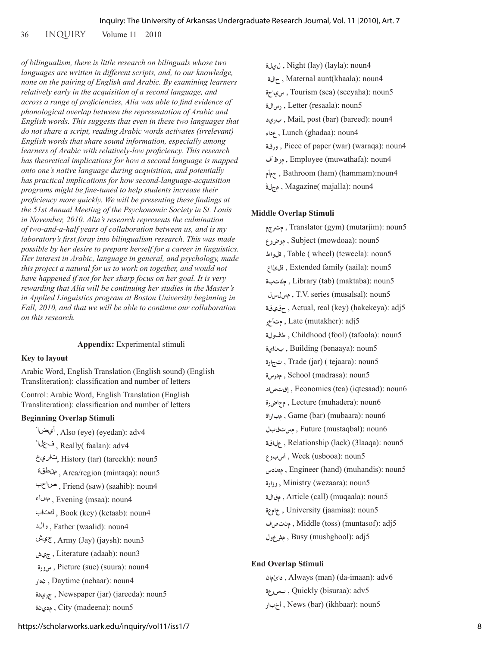36 INQUIRY Volume 11 2010

*of bilingualism, there is little research on bilinguals whose two languages are written in different scripts, and, to our knowledge, none on the pairing of English and Arabic. By examining learners relatively early in the acquisition of a second language, and across a range of proficiencies, Alia was able to find evidence of phonological overlap between the representation of Arabic and English words. This suggests that even in these two languages that do not share a script, reading Arabic words activates (irrelevant) English words that share sound information, especially among learners of Arabic with relatively-low proficiency. This research has theoretical implications for how a second language is mapped onto one's native language during acquisition, and potentially has practical implications for how second-language-acquisition programs might be fine-tuned to help students increase their proficiency more quickly. We will be presenting these findings at the 51st Annual Meeting of the Psychonomic Society in St. Louis in November, 2010. Alia's research represents the culmination of two-and-a-half years of collaboration between us, and is my laboratory's first foray into bilingualism research. This was made possible by her desire to prepare herself for a career in linguistics. Her interest in Arabic, language in general, and psychology, made this project a natural for us to work on together, and would not have happened if not for her sharp focus on her goal. It is very rewarding that Alia will be continuing her studies in the Master's in Applied Linguistics program at Boston University beginning in Fall, 2010, and that we will be able to continue our collaboration on this research.*

## **Appendix:** Experimental stimuli

## **Key to layout**

Arabic Word, English Translation (English sound) (English Transliteration): classification and number of letters

Control: Arabic Word, English Translation (English Transliteration): classification and number of letters

## **Beginning Overlap Stimuli**

 , Also (eye) (eyedan): adv4 ف£لاً, Really( faalan): adv4 , History (tar) (tareekh): noun5 , Area/region (mintaqa): noun5 , Friend (saw) (saahib): noun4 , Evening (msaa): noun4 , Book (key) (ketaab): noun4 , Father (waalid): noun4 , Army (Jay) (jaysh): noun3 **جيش** , Literature (adaab): noun3 **سورة** , Picture (sue) (suura): noun4 **نهار** , Daytime (nehaar): noun4  **جريدة** , Newspaper (jar) (jareeda): noun5 **مدينة** , City (madeena): noun5

 **ليلة** , Night (lay) (layla): noun4 **خالة** , Maternal aunt(khaala): noun4  **سياحة** , Tourism (sea) (seeyaha): noun5 **رسالة** , Letter (resaala): noun5  **بريد** , Mail, post (bar) (bareed): noun4 **غداء** , Lunch (ghadaa): noun4  **ورقة** , Piece of paper (war) (waraqa): noun4  **فّموظ** , Employee (muwathafa): noun4

 **مّحما** , Bathroom (ham) (hammam):noun4

مجلة , Magazine( majalla): noun4

## **Middle Overlap Stimuli**

 **مترجم** , Translator (gym) (mutarjim): noun5 **موضوع** , Subject (mowdoaa): noun5  **ةلواط** , Table ( wheel) (teweela): noun5 **ةلئاع** , Extended family (aaila): noun5  **مكتبة** , Library (tab) (maktaba): noun5 **مسلسل** , T.V. series (musalsal): noun5  **حقيقة** , Actual, real (key) (hakekeya): adj5 **متأخر** , Late (mutakher): adj5  **طفولة** , Childhood (fool) (tafoola): noun5 **بناية** , Building (benaaya): noun5  **تجارة** , Trade (jar) ( tejaara): noun5 **مدرسة** , School (madrasa): noun5  **إقتصاد** , Economics (tea) (iqtesaad): noun6 **محاضرة** , Lecture (muhadera): noun6  **مباراة** , Game (bar) (mubaara): noun6 **مستقبل** , Future (mustaqbal): noun6  **علاقة** , Relationship (lack) (3laaqa): noun5 **أسبوع** , Week (usbooa): noun5  **مهندس** , Engineer (hand) (muhandis): noun5 **وزارة** , Ministry (wezaara): noun5  **مقالة** , Article (call) (muqaala): noun5 **خامعة** , University (jaamiaa): noun5  **منتصف** , Middle (toss) (muntasof): adj5 **مشغول** , Busy (mushghool): adj5

## **End Overlap Stimuli**

 **دائمان** , Always (man) (da-imaan): adv6 **بسرعة** , Quickly (bisuraa): adv5  **أخبار** , News (bar) (ikhbaar): noun5